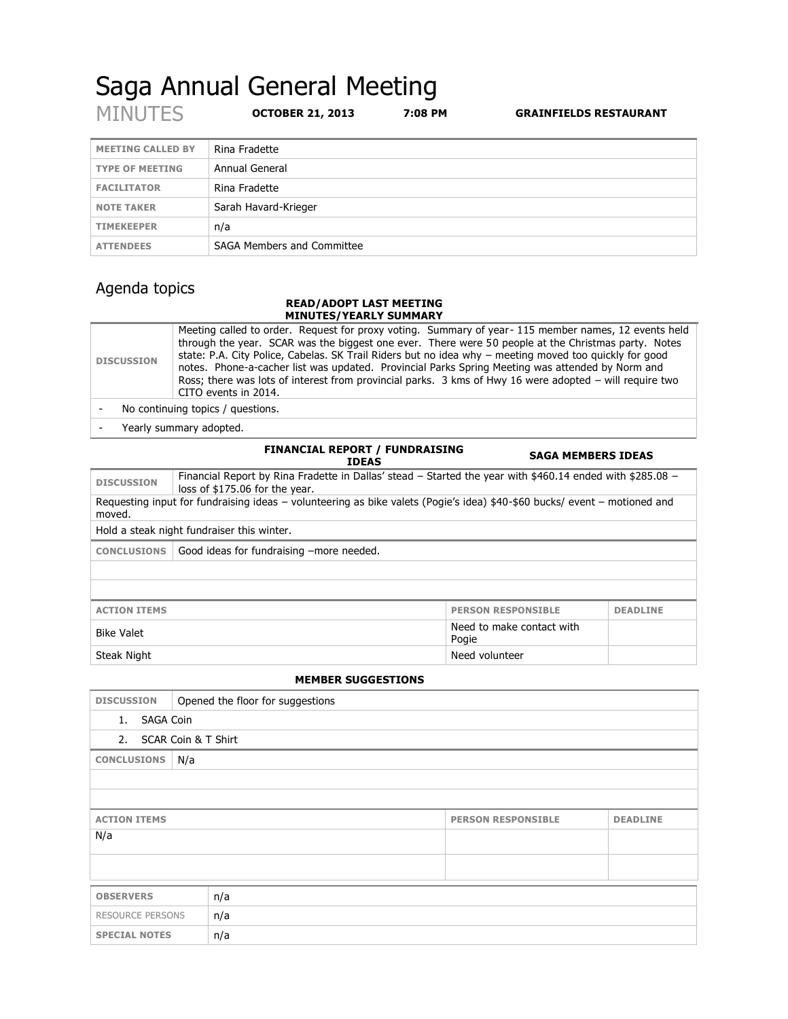# Saga Annual General Meeting<br>MINUTES OCTOBER 21, 2013 7:08 PI

OCTOBER 21, 2013 7:08 PM **GRAINFIELDS RESTAURANT** 

| <b>MEETING CALLED BY</b> | Rina Fradette              |
|--------------------------|----------------------------|
| <b>TYPE OF MEETING</b>   | Annual General             |
| <b>FACILITATOR</b>       | Rina Fradette              |
| <b>NOTE TAKER</b>        | Sarah Havard-Krieger       |
| <b>TIMEKEEPER</b>        | n/a                        |
| <b>ATTENDEES</b>         | SAGA Members and Committee |

# Agenda topics

#### **READ/ADOPT LAST MEETING MINUTES/YEARLY SUMMARY**

| <b>DISCUSSION</b> | Meeting called to order. Request for proxy voting. Summary of year-115 member names, 12 events held<br>through the year. SCAR was the biggest one ever. There were 50 people at the Christmas party. Notes<br>state: P.A. City Police, Cabelas. SK Trail Riders but no idea why - meeting moved too quickly for good<br>notes. Phone-a-cacher list was updated. Provincial Parks Spring Meeting was attended by Norm and<br>Ross; there was lots of interest from provincial parks. 3 kms of Hwy 16 were adopted – will require two<br>CITO events in 2014. |  |  |  |
|-------------------|-------------------------------------------------------------------------------------------------------------------------------------------------------------------------------------------------------------------------------------------------------------------------------------------------------------------------------------------------------------------------------------------------------------------------------------------------------------------------------------------------------------------------------------------------------------|--|--|--|
|                   | No continuing topics / questions.                                                                                                                                                                                                                                                                                                                                                                                                                                                                                                                           |  |  |  |

- Yearly summary adopted.

|                                                                                                                                     | <b>FINANCIAL REPORT / FUNDRAISING</b><br><b>IDEAS</b>                                                                                       | <b>SAGA MEMBERS IDEAS</b>          |                 |  |  |
|-------------------------------------------------------------------------------------------------------------------------------------|---------------------------------------------------------------------------------------------------------------------------------------------|------------------------------------|-----------------|--|--|
| <b>DISCUSSION</b>                                                                                                                   | Financial Report by Rina Fradette in Dallas' stead – Started the year with \$460.14 ended with \$285.08 –<br>loss of \$175.06 for the year. |                                    |                 |  |  |
| Requesting input for fundraising ideas – volunteering as bike valets (Pogie's idea) \$40-\$60 bucks/ event – motioned and<br>moved. |                                                                                                                                             |                                    |                 |  |  |
| Hold a steak night fundraiser this winter.                                                                                          |                                                                                                                                             |                                    |                 |  |  |
| <b>CONCLUSIONS</b>                                                                                                                  | Good ideas for fundraising -more needed.                                                                                                    |                                    |                 |  |  |
|                                                                                                                                     |                                                                                                                                             |                                    |                 |  |  |
|                                                                                                                                     |                                                                                                                                             |                                    |                 |  |  |
| <b>ACTION ITEMS</b>                                                                                                                 |                                                                                                                                             | <b>PERSON RESPONSIBLE</b>          | <b>DEADLINE</b> |  |  |
| <b>Bike Valet</b>                                                                                                                   |                                                                                                                                             | Need to make contact with<br>Pogie |                 |  |  |
| Steak Night                                                                                                                         |                                                                                                                                             | Need volunteer                     |                 |  |  |

### **MEMBER SUGGESTIONS**

| <b>DISCUSSION</b>         | Opened the floor for suggestions |                           |                 |  |  |
|---------------------------|----------------------------------|---------------------------|-----------------|--|--|
| <b>SAGA Coin</b><br>1.    |                                  |                           |                 |  |  |
| SCAR Coin & T Shirt<br>2. |                                  |                           |                 |  |  |
| <b>CONCLUSIONS</b><br>N/a |                                  |                           |                 |  |  |
|                           |                                  |                           |                 |  |  |
|                           |                                  |                           |                 |  |  |
| <b>ACTION ITEMS</b>       |                                  | <b>PERSON RESPONSIBLE</b> | <b>DEADLINE</b> |  |  |
| N/a                       |                                  |                           |                 |  |  |
|                           |                                  |                           |                 |  |  |
|                           |                                  |                           |                 |  |  |
| <b>OBSERVERS</b>          | n/a                              |                           |                 |  |  |
| RESOURCE PERSONS          | n/a                              |                           |                 |  |  |
| <b>SPECIAL NOTES</b>      | n/a                              |                           |                 |  |  |